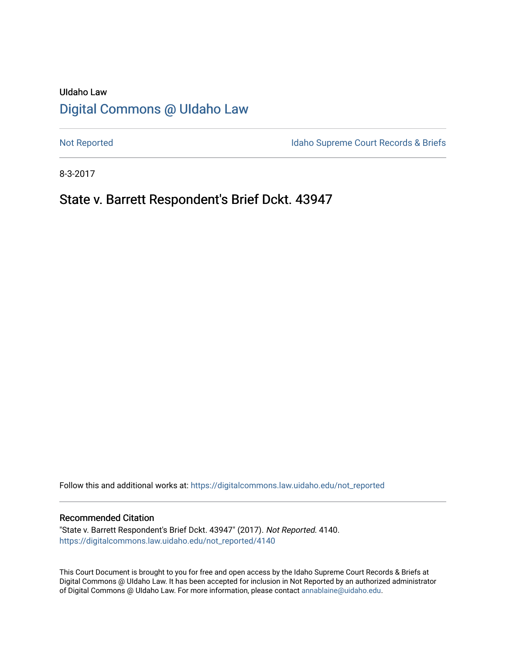# UIdaho Law [Digital Commons @ UIdaho Law](https://digitalcommons.law.uidaho.edu/)

[Not Reported](https://digitalcommons.law.uidaho.edu/not_reported) **Idaho Supreme Court Records & Briefs** 

8-3-2017

# State v. Barrett Respondent's Brief Dckt. 43947

Follow this and additional works at: [https://digitalcommons.law.uidaho.edu/not\\_reported](https://digitalcommons.law.uidaho.edu/not_reported?utm_source=digitalcommons.law.uidaho.edu%2Fnot_reported%2F4140&utm_medium=PDF&utm_campaign=PDFCoverPages) 

#### Recommended Citation

"State v. Barrett Respondent's Brief Dckt. 43947" (2017). Not Reported. 4140. [https://digitalcommons.law.uidaho.edu/not\\_reported/4140](https://digitalcommons.law.uidaho.edu/not_reported/4140?utm_source=digitalcommons.law.uidaho.edu%2Fnot_reported%2F4140&utm_medium=PDF&utm_campaign=PDFCoverPages)

This Court Document is brought to you for free and open access by the Idaho Supreme Court Records & Briefs at Digital Commons @ UIdaho Law. It has been accepted for inclusion in Not Reported by an authorized administrator of Digital Commons @ UIdaho Law. For more information, please contact [annablaine@uidaho.edu](mailto:annablaine@uidaho.edu).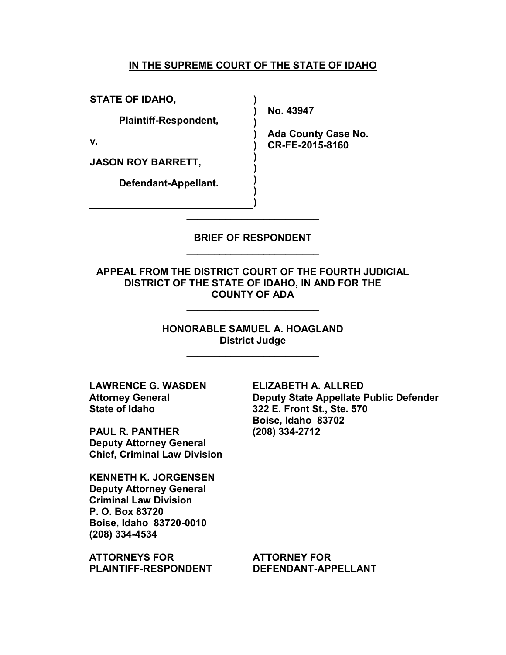## **IN THE SUPREME COURT OF THE STATE OF IDAHO**

**) ) )**

**) ) ) ) ) )**

**STATE OF IDAHO,**

**Plaintiff-Respondent,**

**v.**

**JASON ROY BARRETT,**

**Defendant-Appellant.**

**No. 43947**

**) Ada County Case No. CR-FE-2015-8160**

**BRIEF OF RESPONDENT**  \_\_\_\_\_\_\_\_\_\_\_\_\_\_\_\_\_\_\_\_\_\_\_\_

\_\_\_\_\_\_\_\_\_\_\_\_\_\_\_\_\_\_\_\_\_\_\_\_

**APPEAL FROM THE DISTRICT COURT OF THE FOURTH JUDICIAL DISTRICT OF THE STATE OF IDAHO, IN AND FOR THE COUNTY OF ADA** 

\_\_\_\_\_\_\_\_\_\_\_\_\_\_\_\_\_\_\_\_\_\_\_\_

**HONORABLE SAMUEL A. HOAGLAND District Judge** 

\_\_\_\_\_\_\_\_\_\_\_\_\_\_\_\_\_\_\_\_\_\_\_\_

**LAWRENCE G. WASDEN Attorney General State of Idaho**

**PAUL R. PANTHER Deputy Attorney General Chief, Criminal Law Division**

**KENNETH K. JORGENSEN Deputy Attorney General Criminal Law Division P. O. Box 83720 Boise, Idaho 83720-0010 (208) 334-4534**

**ATTORNEYS FOR PLAINTIFF-RESPONDENT** **ELIZABETH A. ALLRED Deputy State Appellate Public Defender 322 E. Front St., Ste. 570 Boise, Idaho 83702 (208) 334-2712**

**ATTORNEY FOR DEFENDANT-APPELLANT**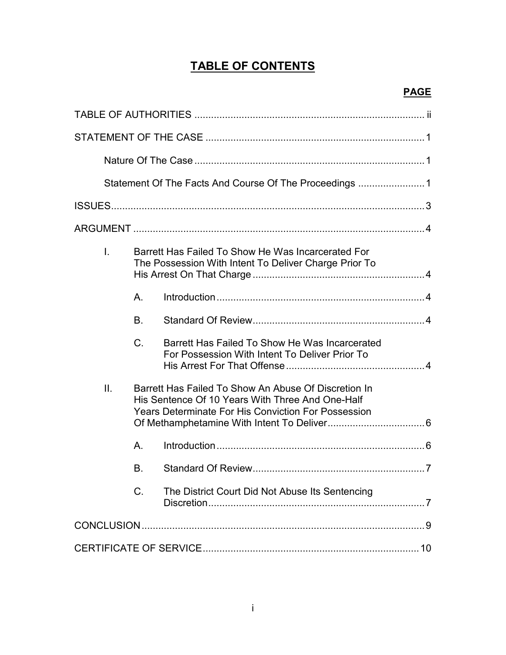# **TABLE OF CONTENTS**

# **PAGE**

| L.  |                                                                                                                                                                        | Barrett Has Failed To Show He Was Incarcerated For<br>The Possession With Intent To Deliver Charge Prior To |  |  |  |
|-----|------------------------------------------------------------------------------------------------------------------------------------------------------------------------|-------------------------------------------------------------------------------------------------------------|--|--|--|
|     | A.                                                                                                                                                                     |                                                                                                             |  |  |  |
|     | <b>B.</b>                                                                                                                                                              |                                                                                                             |  |  |  |
|     | $C$ .                                                                                                                                                                  | Barrett Has Failed To Show He Was Incarcerated<br>For Possession With Intent To Deliver Prior To            |  |  |  |
| II. | Barrett Has Failed To Show An Abuse Of Discretion In<br>His Sentence Of 10 Years With Three And One-Half<br><b>Years Determinate For His Conviction For Possession</b> |                                                                                                             |  |  |  |
|     | Α.                                                                                                                                                                     |                                                                                                             |  |  |  |
|     | В.                                                                                                                                                                     |                                                                                                             |  |  |  |
|     | $C$ .                                                                                                                                                                  | The District Court Did Not Abuse Its Sentencing                                                             |  |  |  |
|     |                                                                                                                                                                        |                                                                                                             |  |  |  |
|     |                                                                                                                                                                        |                                                                                                             |  |  |  |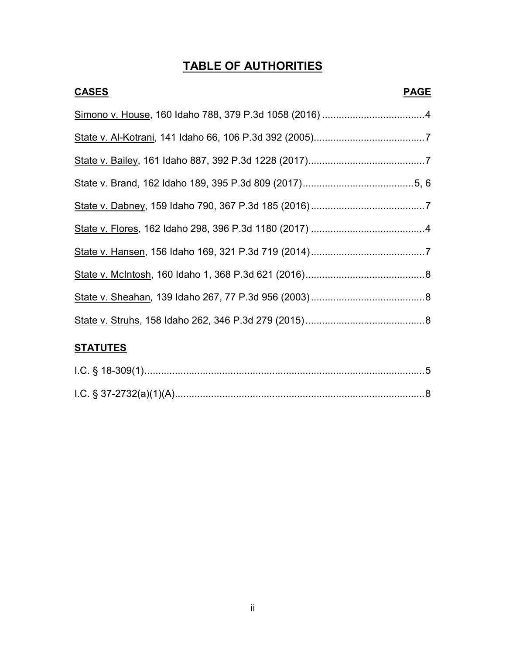# **TABLE OF AUTHORITIES**

| <b>CASES</b>    | <b>PAGE</b> |
|-----------------|-------------|
|                 |             |
|                 |             |
|                 |             |
|                 |             |
|                 |             |
|                 |             |
|                 |             |
|                 |             |
|                 |             |
|                 |             |
| <b>STATUTES</b> |             |

ii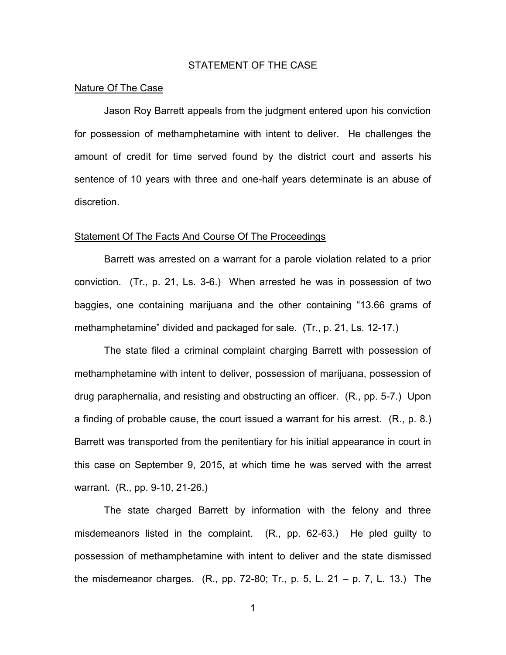### STATEMENT OF THE CASE

#### Nature Of The Case

 Jason Roy Barrett appeals from the judgment entered upon his conviction for possession of methamphetamine with intent to deliver. He challenges the amount of credit for time served found by the district court and asserts his sentence of 10 years with three and one-half years determinate is an abuse of discretion.

#### Statement Of The Facts And Course Of The Proceedings

 Barrett was arrested on a warrant for a parole violation related to a prior conviction. (Tr., p. 21, Ls. 3-6.) When arrested he was in possession of two baggies, one containing marijuana and the other containing "13.66 grams of methamphetamine" divided and packaged for sale. (Tr., p. 21, Ls. 12-17.)

 The state filed a criminal complaint charging Barrett with possession of methamphetamine with intent to deliver, possession of marijuana, possession of drug paraphernalia, and resisting and obstructing an officer. (R., pp. 5-7.) Upon a finding of probable cause, the court issued a warrant for his arrest. (R., p. 8.) Barrett was transported from the penitentiary for his initial appearance in court in this case on September 9, 2015, at which time he was served with the arrest warrant. (R., pp. 9-10, 21-26.)

 The state charged Barrett by information with the felony and three misdemeanors listed in the complaint. (R., pp. 62-63.) He pled guilty to possession of methamphetamine with intent to deliver and the state dismissed the misdemeanor charges.  $(R_{.,} pp. 72-80; Tr_{.,} p. 5, L. 21 - p. 7, L. 13.)$  The

1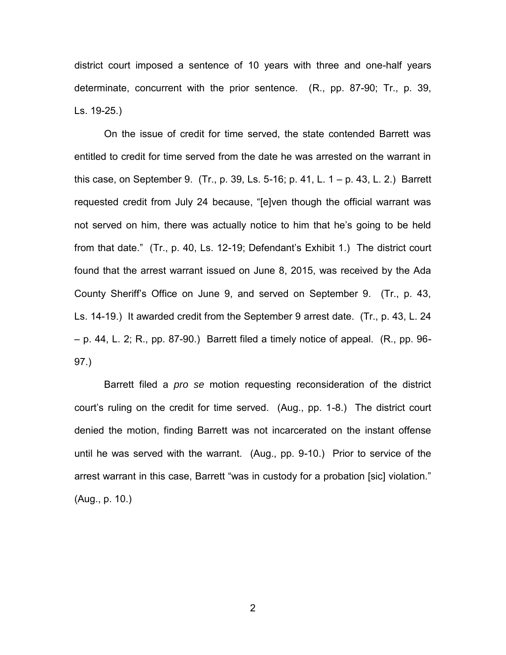district court imposed a sentence of 10 years with three and one-half years determinate, concurrent with the prior sentence. (R., pp. 87-90; Tr., p. 39, Ls. 19-25.)

 On the issue of credit for time served, the state contended Barrett was entitled to credit for time served from the date he was arrested on the warrant in this case, on September 9.  $(Tr., p. 39, Ls. 5-16; p. 41, L. 1 - p. 43, L. 2.)$  Barrett requested credit from July 24 because, "[e]ven though the official warrant was not served on him, there was actually notice to him that he's going to be held from that date." (Tr., p. 40, Ls. 12-19; Defendant's Exhibit 1.) The district court found that the arrest warrant issued on June 8, 2015, was received by the Ada County Sheriff's Office on June 9, and served on September 9. (Tr., p. 43, Ls. 14-19.) It awarded credit from the September 9 arrest date. (Tr., p. 43, L. 24  $-$  p. 44, L. 2; R., pp. 87-90.) Barrett filed a timely notice of appeal. (R., pp. 96-97.)

 Barrett filed a *pro se* motion requesting reconsideration of the district court's ruling on the credit for time served. (Aug., pp. 1-8.) The district court denied the motion, finding Barrett was not incarcerated on the instant offense until he was served with the warrant. (Aug., pp. 9-10.) Prior to service of the arrest warrant in this case, Barrett "was in custody for a probation [sic] violation." (Aug., p. 10.)

2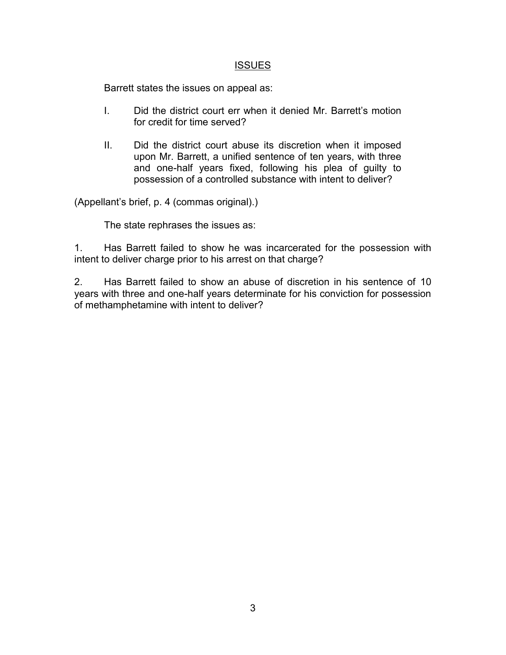# **ISSUES**

Barrett states the issues on appeal as:

- I. Did the district court err when it denied Mr. Barrett's motion for credit for time served?
- II. Did the district court abuse its discretion when it imposed upon Mr. Barrett, a unified sentence of ten years, with three and one-half years fixed, following his plea of guilty to possession of a controlled substance with intent to deliver?

(Appellant's brief, p. 4 (commas original).)

The state rephrases the issues as:

1. Has Barrett failed to show he was incarcerated for the possession with intent to deliver charge prior to his arrest on that charge?

2. Has Barrett failed to show an abuse of discretion in his sentence of 10 years with three and one-half years determinate for his conviction for possession of methamphetamine with intent to deliver?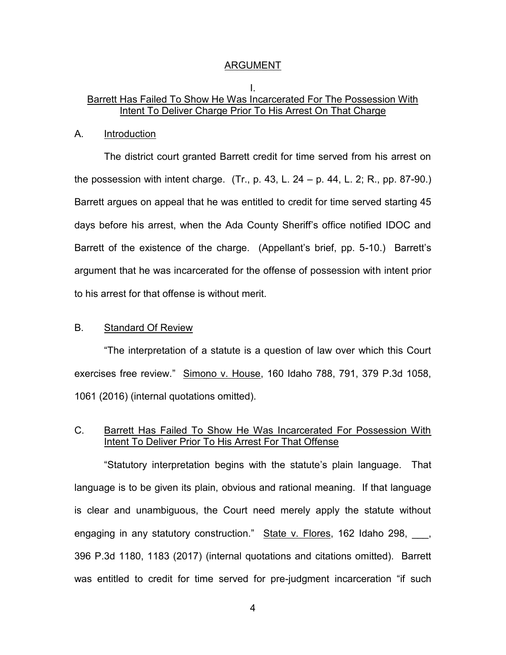#### ARGUMENT

### I. Barrett Has Failed To Show He Was Incarcerated For The Possession With Intent To Deliver Charge Prior To His Arrest On That Charge

#### A. Introduction

 The district court granted Barrett credit for time served from his arrest on the possession with intent charge.  $(Tr, p. 43, L. 24 - p. 44, L. 2; R., pp. 87-90.)$ Barrett argues on appeal that he was entitled to credit for time served starting 45 days before his arrest, when the Ada County Sheriff's office notified IDOC and Barrett of the existence of the charge. (Appellant's brief, pp. 5-10.) Barrett's argument that he was incarcerated for the offense of possession with intent prior to his arrest for that offense is without merit.

### B. Standard Of Review

 "The interpretation of a statute is a question of law over which this Court exercises free review." Simono v. House, 160 Idaho 788, 791, 379 P.3d 1058, 1061 (2016) (internal quotations omitted).

# C. Barrett Has Failed To Show He Was Incarcerated For Possession With Intent To Deliver Prior To His Arrest For That Offense

 "Statutory interpretation begins with the statute's plain language. That language is to be given its plain, obvious and rational meaning. If that language is clear and unambiguous, the Court need merely apply the statute without engaging in any statutory construction." State v. Flores, 162 Idaho 298, and 396 P.3d 1180, 1183 (2017) (internal quotations and citations omitted). Barrett was entitled to credit for time served for pre-judgment incarceration "if such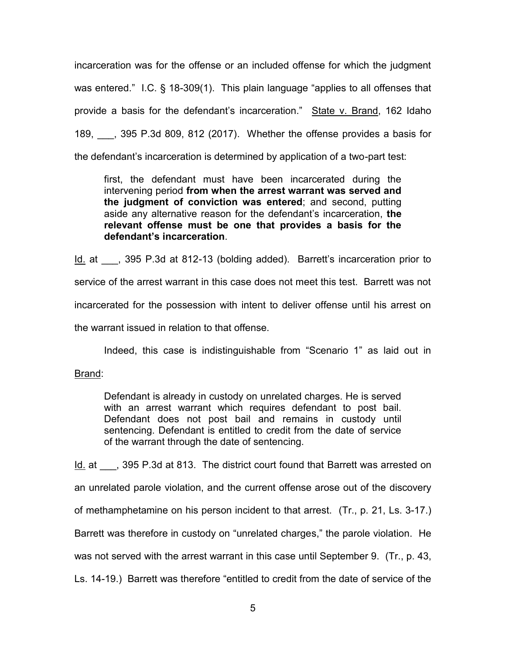incarceration was for the offense or an included offense for which the judgment was entered." I.C. § 18-309(1). This plain language "applies to all offenses that provide a basis for the defendant's incarceration." State v. Brand, 162 Idaho 189, \_\_\_, 395 P.3d 809, 812 (2017). Whether the offense provides a basis for the defendant's incarceration is determined by application of a two-part test:

first, the defendant must have been incarcerated during the intervening period **from when the arrest warrant was served and the judgment of conviction was entered**; and second, putting aside any alternative reason for the defendant's incarceration, **the relevant offense must be one that provides a basis for the defendant's incarceration**.

Id. at  $\qquad$ , 395 P.3d at 812-13 (bolding added). Barrett's incarceration prior to service of the arrest warrant in this case does not meet this test. Barrett was not incarcerated for the possession with intent to deliver offense until his arrest on the warrant issued in relation to that offense.

Indeed, this case is indistinguishable from "Scenario 1" as laid out in

Brand:

Defendant is already in custody on unrelated charges. He is served with an arrest warrant which requires defendant to post bail. Defendant does not post bail and remains in custody until sentencing. Defendant is entitled to credit from the date of service of the warrant through the date of sentencing.

Id. at  $\qquad$ , 395 P.3d at 813. The district court found that Barrett was arrested on an unrelated parole violation, and the current offense arose out of the discovery of methamphetamine on his person incident to that arrest. (Tr., p. 21, Ls. 3-17.) Barrett was therefore in custody on "unrelated charges," the parole violation. He was not served with the arrest warrant in this case until September 9. (Tr., p. 43, Ls. 14-19.) Barrett was therefore "entitled to credit from the date of service of the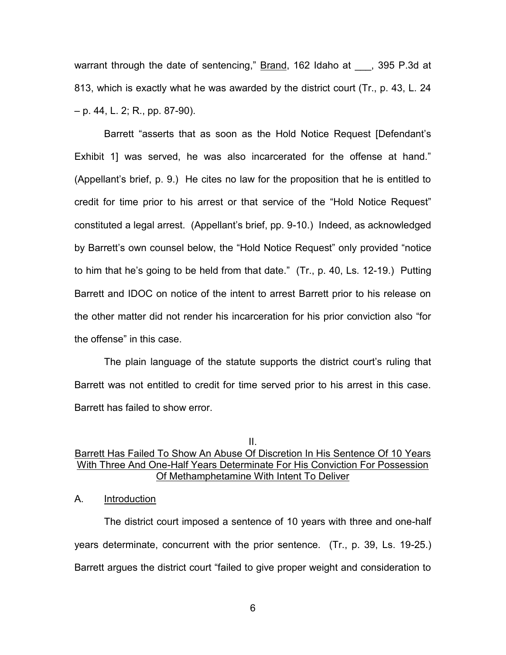warrant through the date of sentencing," Brand, 162 Idaho at \_\_\_, 395 P.3d at 813, which is exactly what he was awarded by the district court (Tr., p. 43, L. 24 – p. 44, L. 2; R., pp. 87-90).

 Barrett "asserts that as soon as the Hold Notice Request [Defendant's Exhibit 1] was served, he was also incarcerated for the offense at hand." (Appellant's brief, p. 9.) He cites no law for the proposition that he is entitled to credit for time prior to his arrest or that service of the "Hold Notice Request" constituted a legal arrest. (Appellant's brief, pp. 9-10.) Indeed, as acknowledged by Barrett's own counsel below, the "Hold Notice Request" only provided "notice to him that he's going to be held from that date." (Tr., p. 40, Ls. 12-19.) Putting Barrett and IDOC on notice of the intent to arrest Barrett prior to his release on the other matter did not render his incarceration for his prior conviction also "for the offense" in this case.

 The plain language of the statute supports the district court's ruling that Barrett was not entitled to credit for time served prior to his arrest in this case. Barrett has failed to show error.

# II. Barrett Has Failed To Show An Abuse Of Discretion In His Sentence Of 10 Years With Three And One-Half Years Determinate For His Conviction For Possession Of Methamphetamine With Intent To Deliver

### A. Introduction

 The district court imposed a sentence of 10 years with three and one-half years determinate, concurrent with the prior sentence. (Tr., p. 39, Ls. 19-25.) Barrett argues the district court "failed to give proper weight and consideration to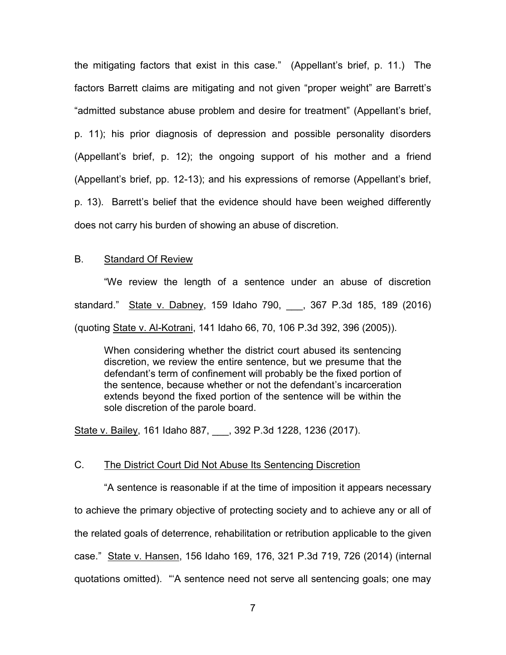the mitigating factors that exist in this case." (Appellant's brief, p. 11.) The factors Barrett claims are mitigating and not given "proper weight" are Barrett's "admitted substance abuse problem and desire for treatment" (Appellant's brief, p. 11); his prior diagnosis of depression and possible personality disorders (Appellant's brief, p. 12); the ongoing support of his mother and a friend (Appellant's brief, pp. 12-13); and his expressions of remorse (Appellant's brief, p. 13). Barrett's belief that the evidence should have been weighed differently does not carry his burden of showing an abuse of discretion.

### B. Standard Of Review

 "We review the length of a sentence under an abuse of discretion standard." State v. Dabney, 159 Idaho 790, \_\_\_, 367 P.3d 185, 189 (2016) (quoting State v. Al-Kotrani, 141 Idaho 66, 70, 106 P.3d 392, 396 (2005)).

When considering whether the district court abused its sentencing discretion, we review the entire sentence, but we presume that the defendant's term of confinement will probably be the fixed portion of the sentence, because whether or not the defendant's incarceration extends beyond the fixed portion of the sentence will be within the sole discretion of the parole board.

State v. Bailey, 161 Idaho 887, 392 P.3d 1228, 1236 (2017).

## C. The District Court Did Not Abuse Its Sentencing Discretion

 "A sentence is reasonable if at the time of imposition it appears necessary to achieve the primary objective of protecting society and to achieve any or all of the related goals of deterrence, rehabilitation or retribution applicable to the given case." State v. Hansen, 156 Idaho 169, 176, 321 P.3d 719, 726 (2014) (internal quotations omitted). "'A sentence need not serve all sentencing goals; one may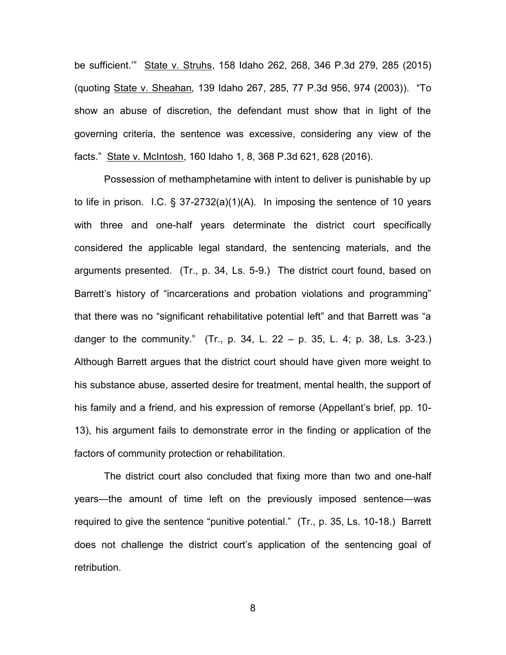be sufficient.'" State v. Struhs, 158 Idaho 262, 268, 346 P.3d 279, 285 (2015) (quoting State v. Sheahan*,* 139 Idaho 267, 285, 77 P.3d 956, 974 (2003)). "To show an abuse of discretion, the defendant must show that in light of the governing criteria, the sentence was excessive, considering any view of the facts." State v. McIntosh, 160 Idaho 1, 8, 368 P.3d 621, 628 (2016).

 Possession of methamphetamine with intent to deliver is punishable by up to life in prison. I.C. § 37-2732(a)(1)(A). In imposing the sentence of 10 years with three and one-half years determinate the district court specifically considered the applicable legal standard, the sentencing materials, and the arguments presented. (Tr., p. 34, Ls. 5-9.) The district court found, based on Barrett's history of "incarcerations and probation violations and programming" that there was no "significant rehabilitative potential left" and that Barrett was "a danger to the community." (Tr., p. 34, L. 22 – p. 35, L. 4; p. 38, Ls. 3-23.) Although Barrett argues that the district court should have given more weight to his substance abuse, asserted desire for treatment, mental health, the support of his family and a friend, and his expression of remorse (Appellant's brief, pp. 10- 13), his argument fails to demonstrate error in the finding or application of the factors of community protection or rehabilitation.

 The district court also concluded that fixing more than two and one-half years—the amount of time left on the previously imposed sentence—was required to give the sentence "punitive potential." (Tr., p. 35, Ls. 10-18.) Barrett does not challenge the district court's application of the sentencing goal of retribution.

8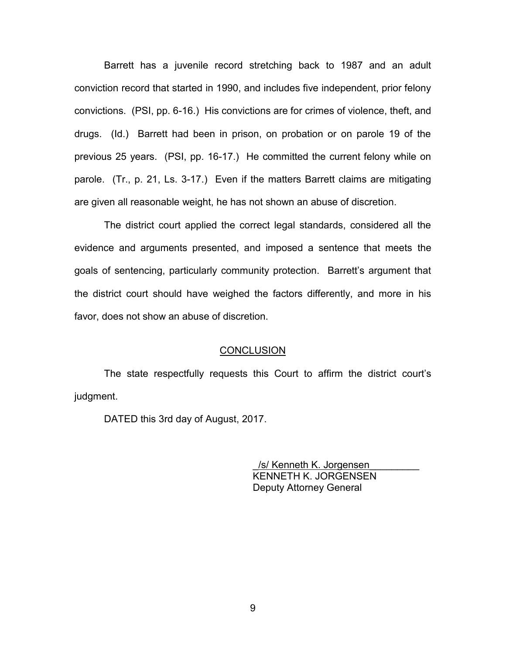Barrett has a juvenile record stretching back to 1987 and an adult conviction record that started in 1990, and includes five independent, prior felony convictions. (PSI, pp. 6-16.) His convictions are for crimes of violence, theft, and drugs. (Id.) Barrett had been in prison, on probation or on parole 19 of the previous 25 years. (PSI, pp. 16-17.) He committed the current felony while on parole. (Tr., p. 21, Ls. 3-17.) Even if the matters Barrett claims are mitigating are given all reasonable weight, he has not shown an abuse of discretion.

 The district court applied the correct legal standards, considered all the evidence and arguments presented, and imposed a sentence that meets the goals of sentencing, particularly community protection. Barrett's argument that the district court should have weighed the factors differently, and more in his favor, does not show an abuse of discretion.

#### **CONCLUSION**

 The state respectfully requests this Court to affirm the district court's judgment.

DATED this 3rd day of August, 2017.

/s/ Kenneth K. Jorgensen KENNETH K. JORGENSEN Deputy Attorney General